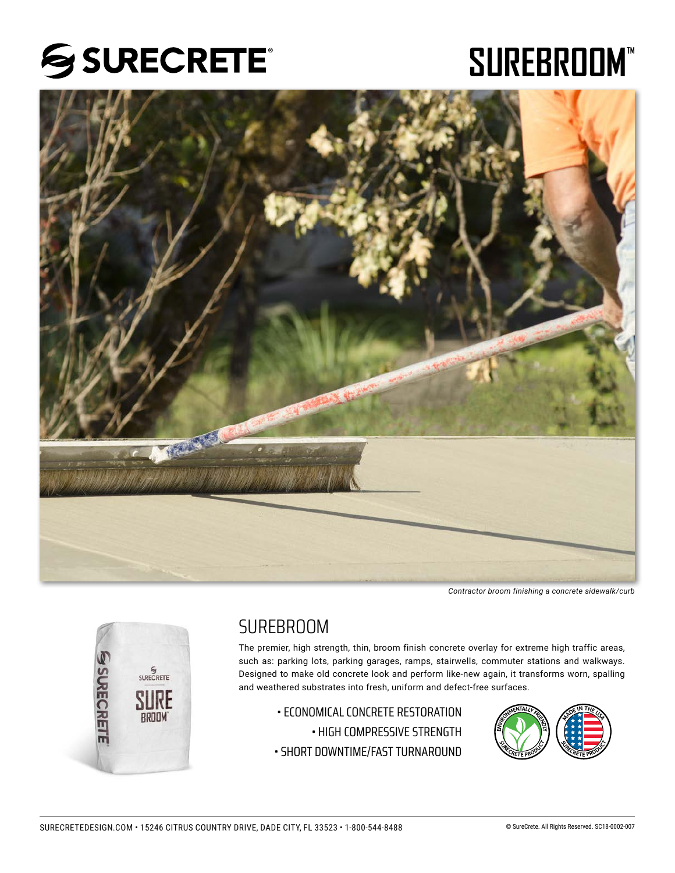# SSURECRETE®

# SUREBROOM"



*Contractor broom finishing a concrete sidewalk/curb*



## **SURFBROOM**

The premier, high strength, thin, broom finish concrete overlay for extreme high traffic areas, such as: parking lots, parking garages, ramps, stairwells, commuter stations and walkways. Designed to make old concrete look and perform like-new again, it transforms worn, spalling and weathered substrates into fresh, uniform and defect-free surfaces.

• ECONOMICAL CONCRETE RESTORATION

• HIGH COMPRESSIVE STRENGTH

• SHORT DOWNTIME/FAST TURNAROUND